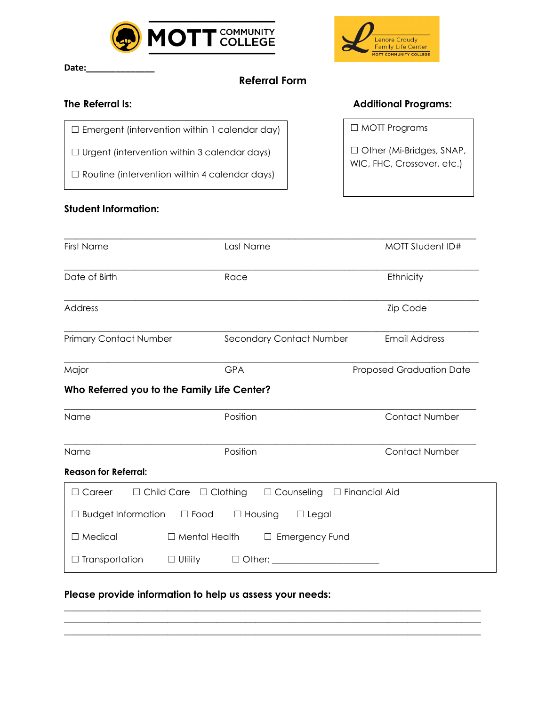

Date:

# **Referral Form**

### **The Referral Is:**

□ Emergent (intervention within 1 calendar day)

☐ Urgent (intervention within 3 calendar days)

☐ Routine (intervention within 4 calendar days)

## **Student Information:**



#### **Additional Programs:**

☐ MOTT Programs

□ Other (Mi-Bridges, SNAP, WIC, FHC, Crossover, etc.)

| <b>First Name</b>                           | Last Name                                                                                                                                                                                                                                | MOTT Student ID#         |
|---------------------------------------------|------------------------------------------------------------------------------------------------------------------------------------------------------------------------------------------------------------------------------------------|--------------------------|
| Date of Birth                               | Race                                                                                                                                                                                                                                     | Ethnicity                |
| <b>Address</b>                              |                                                                                                                                                                                                                                          | Zip Code                 |
| <b>Primary Contact Number</b>               | Secondary Contact Number                                                                                                                                                                                                                 | <b>Email Address</b>     |
| Major                                       | <b>GPA</b>                                                                                                                                                                                                                               | Proposed Graduation Date |
| Who Referred you to the Family Life Center? |                                                                                                                                                                                                                                          |                          |
| Name                                        | Position                                                                                                                                                                                                                                 | <b>Contact Number</b>    |
| Name                                        | Position                                                                                                                                                                                                                                 | <b>Contact Number</b>    |
| <b>Reason for Referral:</b>                 |                                                                                                                                                                                                                                          |                          |
| $\Box$ Career                               | $\Box$ Child Care $\Box$ Clothing<br>$\Box$ Counseling $\Box$ Financial Aid                                                                                                                                                              |                          |
| $\Box$ Budget Information                   | $\Box$ Food $\Box$ Housing<br>$\Box$ Legal                                                                                                                                                                                               |                          |
| $\Box$ Medical                              | $\Box$ Mental Health<br>$\Box$ Emergency Fund                                                                                                                                                                                            |                          |
| $\Box$ Transportation<br>$\Box$ Utility     | Other: when the contract of the contract of the contract of the contract of the contract of the contract of the contract of the contract of the contract of the contract of the contract of the contract of the contract of th<br>$\Box$ |                          |

**\_\_\_\_\_\_\_\_\_\_\_\_\_\_\_\_\_\_\_\_\_\_\_\_\_\_\_\_\_\_\_\_\_\_\_\_\_\_\_\_\_\_\_\_\_\_\_\_\_\_\_\_\_\_\_\_\_\_\_\_\_\_\_\_\_\_\_\_\_\_\_\_\_\_\_\_\_\_\_\_\_\_\_\_\_ \_\_\_\_\_\_\_\_\_\_\_\_\_\_\_\_\_\_\_\_\_\_\_\_\_\_\_\_\_\_\_\_\_\_\_\_\_\_\_\_\_\_\_\_\_\_\_\_\_\_\_\_\_\_\_\_\_\_\_\_\_\_\_\_\_\_\_\_\_\_\_\_\_\_\_\_\_\_\_\_\_\_\_\_\_ \_\_\_\_\_\_\_\_\_\_\_\_\_\_\_\_\_\_\_\_\_\_\_\_\_\_\_\_\_\_\_\_\_\_\_\_\_\_\_\_\_\_\_\_\_\_\_\_\_\_\_\_\_\_\_\_\_\_\_\_\_\_\_\_\_\_\_\_\_\_\_\_\_\_\_\_\_\_\_\_\_\_\_\_\_** 

#### **Please provide information to help us assess your needs:**